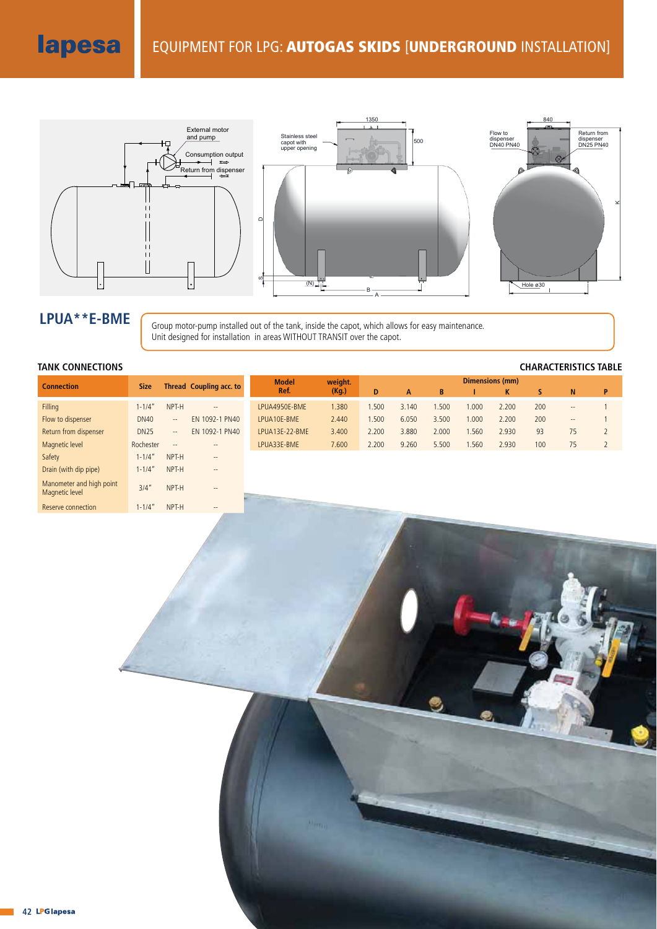

LPUA<sup>\*\*</sup>E-BME **Group motor-pump installed out of the tank**, inside the capot, which allows for easy maintenance. Unit designed for installation in areas WITHOUT TRANSIT over the capot.

## **TANK CONNECTIONS CHARACTERISTICS TABLE**

Reserve connection 1-1/4" NPT-H

| <b>Connection</b>                          | <b>Size</b> |                          | Thread Coupling acc. to  |  | <b>Model</b><br>Ref. | weight.<br>(Kg.) | Dimensions (mm) |       |       |       |       |     |       |                |
|--------------------------------------------|-------------|--------------------------|--------------------------|--|----------------------|------------------|-----------------|-------|-------|-------|-------|-----|-------|----------------|
|                                            |             |                          |                          |  |                      |                  | D               | A     | B     |       | K     | S   | N     | P              |
| Filling                                    | $1 - 1/4"$  | NPT-H                    | $\qquad \qquad -$        |  | LPUA4950E-BME        | 1.380            | 1.500           | 3.140 | .500  | 1.000 | 2.200 | 200 | $- -$ |                |
| Flow to dispenser                          | <b>DN40</b> | $\overline{\phantom{a}}$ | EN 1092-1 PN40           |  | LPUA10E-BME          | 2.440            | 1.500           | 6.050 | 3.500 | 1.000 | 2.200 | 200 | $- -$ |                |
| Return from dispenser                      | <b>DN25</b> | $\overline{\phantom{a}}$ | EN 1092-1 PN40           |  | LPUA13E-22-BME       | 3.400            | 2.200           | 3.880 | 2.000 | 1.560 | 2.930 | 93  | 75    | $\overline{2}$ |
| Magnetic level                             | Rochester   | $\overline{\phantom{a}}$ | $\overline{\phantom{a}}$ |  | LPUA33E-BME          | 7.600            | 2.200           | 9.260 | 5.500 | 1.560 | 2.930 | 100 | 75    |                |
| Safety                                     | $1 - 1/4"$  | NPT-H                    | $\overline{\phantom{a}}$ |  |                      |                  |                 |       |       |       |       |     |       |                |
| Drain (with dip pipe)                      | $1 - 1/4'$  | NPT-H                    | $\overline{\phantom{a}}$ |  |                      |                  |                 |       |       |       |       |     |       |                |
| Manometer and high point<br>Magnetic level | 3/4''       | NPT-H                    | $\overline{\phantom{a}}$ |  |                      |                  |                 |       |       |       |       |     |       |                |